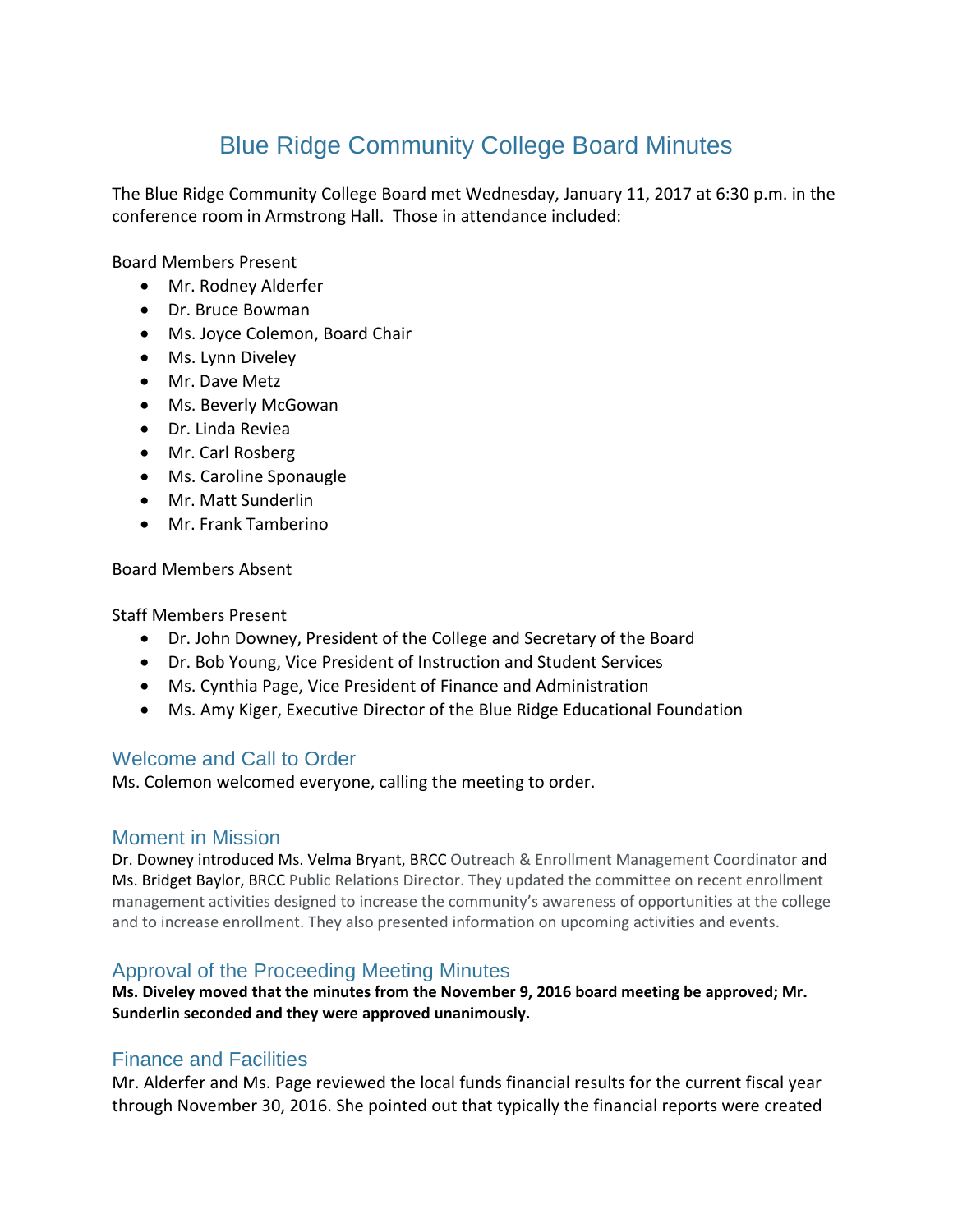# Blue Ridge Community College Board Minutes

The Blue Ridge Community College Board met Wednesday, January 11, 2017 at 6:30 p.m. in the conference room in Armstrong Hall. Those in attendance included:

Board Members Present

- Mr. Rodney Alderfer
- Dr. Bruce Bowman
- Ms. Joyce Colemon, Board Chair
- Ms. Lynn Diveley
- Mr. Dave Metz
- Ms. Beverly McGowan
- Dr. Linda Reviea
- Mr. Carl Rosberg
- Ms. Caroline Sponaugle
- Mr. Matt Sunderlin
- Mr. Frank Tamberino

Board Members Absent

Staff Members Present

- Dr. John Downey, President of the College and Secretary of the Board
- Dr. Bob Young, Vice President of Instruction and Student Services
- Ms. Cynthia Page, Vice President of Finance and Administration
- Ms. Amy Kiger, Executive Director of the Blue Ridge Educational Foundation

## Welcome and Call to Order

Ms. Colemon welcomed everyone, calling the meeting to order.

#### Moment in Mission

Dr. Downey introduced Ms. Velma Bryant, BRCC Outreach & Enrollment Management Coordinator and Ms. Bridget Baylor, BRCC Public Relations Director. They updated the committee on recent enrollment management activities designed to increase the community's awareness of opportunities at the college and to increase enrollment. They also presented information on upcoming activities and events.

## Approval of the Proceeding Meeting Minutes

**Ms. Diveley moved that the minutes from the November 9, 2016 board meeting be approved; Mr. Sunderlin seconded and they were approved unanimously.**

## Finance and Facilities

Mr. Alderfer and Ms. Page reviewed the local funds financial results for the current fiscal year through November 30, 2016. She pointed out that typically the financial reports were created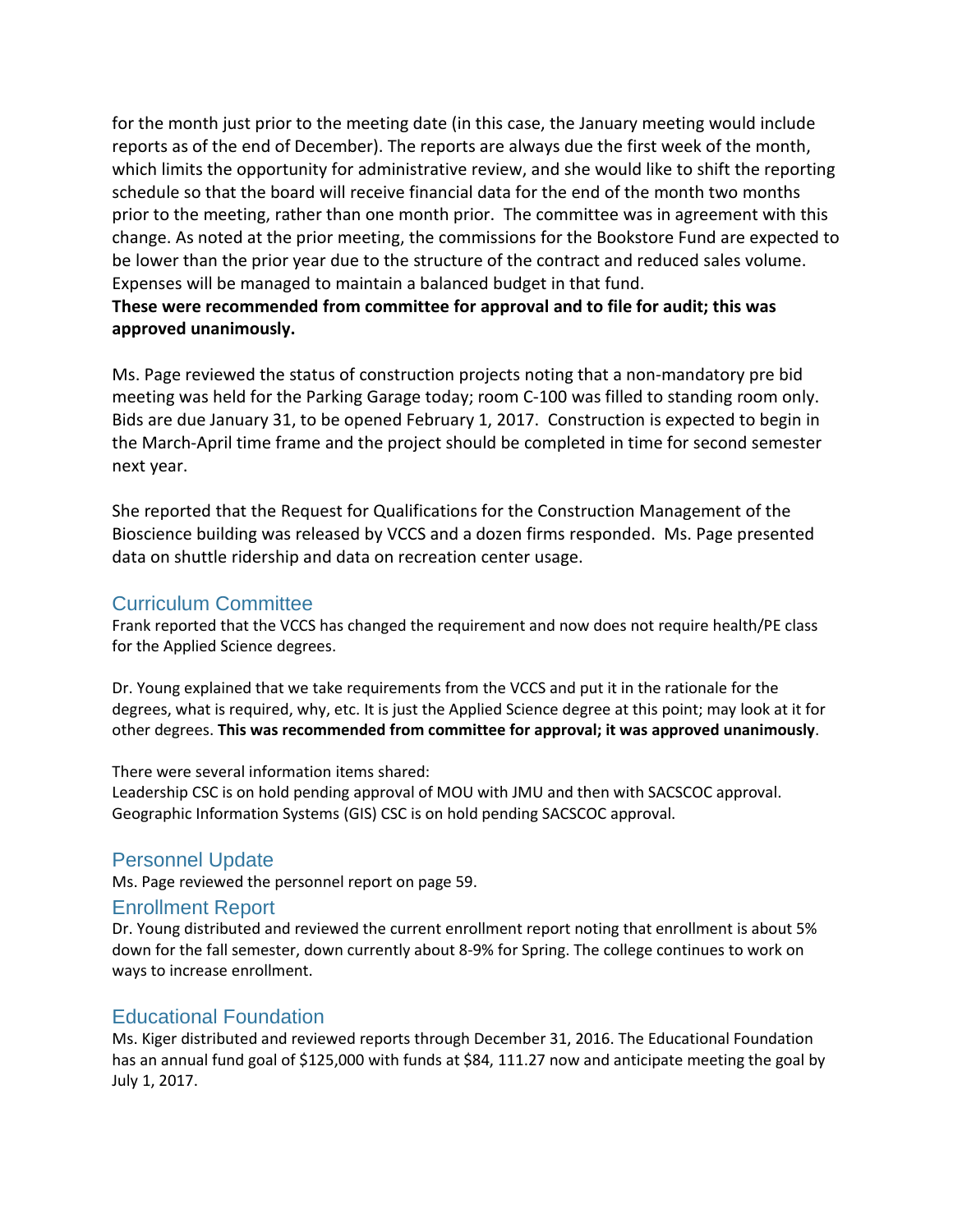for the month just prior to the meeting date (in this case, the January meeting would include reports as of the end of December). The reports are always due the first week of the month, which limits the opportunity for administrative review, and she would like to shift the reporting schedule so that the board will receive financial data for the end of the month two months prior to the meeting, rather than one month prior. The committee was in agreement with this change. As noted at the prior meeting, the commissions for the Bookstore Fund are expected to be lower than the prior year due to the structure of the contract and reduced sales volume. Expenses will be managed to maintain a balanced budget in that fund.

## **These were recommended from committee for approval and to file for audit; this was approved unanimously.**

Ms. Page reviewed the status of construction projects noting that a non-mandatory pre bid meeting was held for the Parking Garage today; room C-100 was filled to standing room only. Bids are due January 31, to be opened February 1, 2017. Construction is expected to begin in the March-April time frame and the project should be completed in time for second semester next year.

She reported that the Request for Qualifications for the Construction Management of the Bioscience building was released by VCCS and a dozen firms responded. Ms. Page presented data on shuttle ridership and data on recreation center usage.

# Curriculum Committee

Frank reported that the VCCS has changed the requirement and now does not require health/PE class for the Applied Science degrees.

Dr. Young explained that we take requirements from the VCCS and put it in the rationale for the degrees, what is required, why, etc. It is just the Applied Science degree at this point; may look at it for other degrees. **This was recommended from committee for approval; it was approved unanimously**.

#### There were several information items shared:

Leadership CSC is on hold pending approval of MOU with JMU and then with SACSCOC approval. Geographic Information Systems (GIS) CSC is on hold pending SACSCOC approval.

# Personnel Update

Ms. Page reviewed the personnel report on page 59.

## Enrollment Report

Dr. Young distributed and reviewed the current enrollment report noting that enrollment is about 5% down for the fall semester, down currently about 8-9% for Spring. The college continues to work on ways to increase enrollment.

# Educational Foundation

Ms. Kiger distributed and reviewed reports through December 31, 2016. The Educational Foundation has an annual fund goal of \$125,000 with funds at \$84, 111.27 now and anticipate meeting the goal by July 1, 2017.